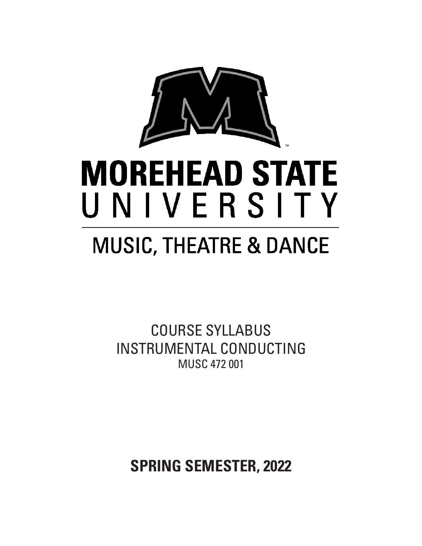

# **MOREHEAD STATE** UNIVERSITY

## **MUSIC, THEATRE & DANCE**

COURSE SYLLABUS INSTRUMENTAL CONDUCTING MUSC 472 001

**SPRING SEMESTER, 2022**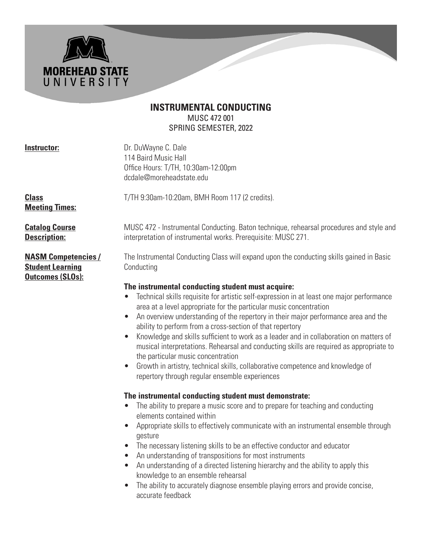### **INSTRUMENTAL CONDUCTING** MUSC 472 001 SPRING SEMESTER, 2022

**MOREHEAD STATE** UNIVERSITY

**Instructor:** Dr. DuWayne C. Dale 114 Baird Music Hall Office Hours: T/TH, 10:30am-12:00pm dcdale@moreheadstate.edu

**Class** T/TH 9:30am-10:20am, BMH Room 117 (2 credits). **Meeting Times:** 

**Student Learning Conducting Outcomes (SLOs):** 

**Catalog Course MUSC 472 - Instrumental Conducting. Baton technique, rehearsal procedures and style and Description: interpretation of instrumental works. Prerequisite: MUSC 271.** 

**NASM Competencies /** The Instrumental Conducting Class will expand upon the conducting skills gained in Basic

#### **The instrumental conducting student must acquire:**

- Technical skills requisite for artistic self-expression in at least one major performance area at a level appropriate for the particular music concentration
- An overview understanding of the repertory in their major performance area and the ability to perform from a cross-section of that repertory
- Knowledge and skills sufficient to work as a leader and in collaboration on matters of musical interpretations. Rehearsal and conducting skills are required as appropriate to the particular music concentration
- Growth in artistry, technical skills, collaborative competence and knowledge of repertory through regular ensemble experiences

#### **The instrumental conducting student must demonstrate:**

- The ability to prepare a music score and to prepare for teaching and conducting elements contained within
- Appropriate skills to effectively communicate with an instrumental ensemble through gesture
- The necessary listening skills to be an effective conductor and educator
- An understanding of transpositions for most instruments
- An understanding of a directed listening hierarchy and the ability to apply this knowledge to an ensemble rehearsal
- The ability to accurately diagnose ensemble playing errors and provide concise, accurate feedback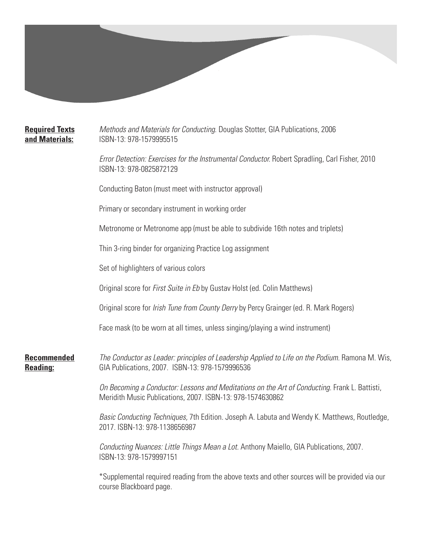**Required Texts** *Methods and Materials for Conducting*. Douglas Stotter, GIA Publications, 2006 **and Materials:** ISBN-13: 978-1579995515 *Error Detection: Exercises for the Instrumental Conductor.* Robert Spradling, Carl Fisher, 2010 ISBN-13: 978-0825872129 Conducting Baton (must meet with instructor approval) Primary or secondary instrument in working order Metronome or Metronome app (must be able to subdivide 16th notes and triplets) Thin 3-ring binder for organizing Practice Log assignment Set of highlighters of various colors Original score for *First Suite in Eb* by Gustav Holst (ed. Colin Matthews) Original score for *Irish Tune from County Derry* by Percy Grainger (ed. R. Mark Rogers) Face mask (to be worn at all times, unless singing/playing a wind instrument) **Recommended** *The Conductor as Leader: principles of Leadership Applied to Life on the Podium.* Ramona M. Wis, **Reading:** GIA Publications, 2007. ISBN-13: 978-1579996536 *On Becoming a Conductor: Lessons and Meditations on the Art of Conducting.* Frank L. Battisti, Meridith Music Publications, 2007. ISBN-13: 978-1574630862 *Basic Conducting Techniques,* 7th Edition*.* Joseph A. Labuta and Wendy K. Matthews, Routledge, 2017. ISBN-13: 978-1138656987 *Conducting Nuances: Little Things Mean a Lot.* Anthony Maiello, GIA Publications, 2007. ISBN-13: 978-1579997151

\*Supplemental required reading from the above texts and other sources will be provided via our course Blackboard page.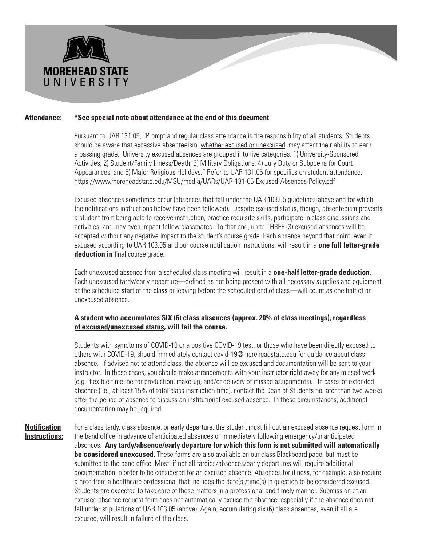

#### **Attendance: \*See special note about attendance at the end of this document**

Pursuant to UAR 131.05, "Prompt and regular class attendance is the responsibility of all students. Students should be aware that excessive absenteeism, whether excused or unexcused, may affect their ability to earn a passing grade. University excused absences are grouped into five categories: 1) University-Sponsored Activities; 2) Student/Family Illness/Death; 3) Military Obligations; 4) Jury Duty or Subpoena for Court Appearances; and 5) Major Religious Holidays." Refer to UAR 131.05 for specifics on student attendance: https://www.moreheadstate.edu/MSU/media/UARs/UAR-131-05-Excused-Absences-Policy.pdf

 Excused absences sometimes occur (absences that fall under the UAR 103.05 guidelines above and for which the notifications instructions below have been followed). Despite excused status, though, absenteeism prevents a student from being able to receive instruction, practice requisite skills, participate in class discussions and activities, and may even impact fellow classmates. To that end, up to THREE (3) excused absences will be accepted without any negative impact to the student's course grade. Each absence beyond that point, even if excused according to UAR 103.05 and our course notification instructions, will result in a **one full letter-grade deduction in** final course grade**.**

 Each unexcused absence from a scheduled class meeting will result in a **one-half letter-grade deduction**. Each unexcused tardy/early departure—defined as not being present with all necessary supplies and equipment at the scheduled start of the class or leaving before the scheduled end of class—will count as one half of an unexcused absence.

#### **A student who accumulates SIX (6) class absences (approx. 20% of class meetings), regardless of excused/unexcused status, will fail the course.**

 Students with symptoms of COVID-19 or a positive COVID-19 test, or those who have been directly exposed to others with COVID-19, should immediately contact covid-19@moreheadstate.edu for guidance about class absence. If advised not to attend class, the absence will be excused and documentation will be sent to your instructor. In these cases, you should make arrangements with your instructor right away for any missed work (e.g., flexible timeline for production, make-up, and/or delivery of missed assignments). In cases of extended absence (i.e., at least 15% of total class instruction time), contact the Dean of Students no later than two weeks after the period of absence to discuss an institutional excused absence. In these circumstances, additional documentation may be required.

**Notification** For a class tardy, class absence, or early departure, the student must fill out an excused absence request form in **Instructions:** the band office in advance of anticipated absences or immediately following emergency/unanticipated absences. **Any tardy/absence/early departure for which this form is not submitted will automatically be considered unexcused.** These forms are also available on our class Blackboard page, but must be submitted to the band office. Most, if not all tardies/absences/early departures will require additional documentation in order to be considered for an excused absence. Absences for illness, for example, also require a note from a healthcare professional that includes the date(s)/time(s) in question to be considered excused. Students are expected to take care of these matters in a professional and timely manner. Submission of an excused absence request form does not automatically excuse the absence, especially if the absence does not fall under stipulations of UAR 103.05 (above). Again, accumulating six (6) class absences, even if all are excused, will result in failure of the class.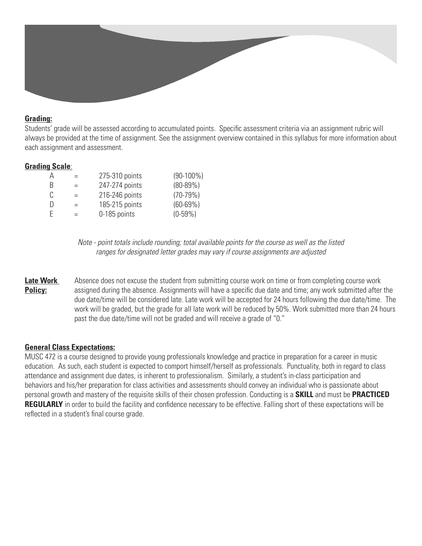#### **Grading:**

Students' grade will be assessed according to accumulated points. Specific assessment criteria via an assignment rubric will always be provided at the time of assignment. See the assignment overview contained in this syllabus for more information about each assignment and assessment.

#### **Grading Scale**:

| А | $=$ | 275-310 points | $(90-100\%)$ |
|---|-----|----------------|--------------|
| B | $=$ | 247-274 points | $(80-89%)$   |
| C | $=$ | 216-246 points | $(70-79%)$   |
| D | $=$ | 185-215 points | $(60 - 69%)$ |
| F | $=$ | 0-185 points   | $(0-59\%)$   |
|   |     |                |              |

*Note - point totals include rounding; total available points for the course as well as the listed ranges for designated letter grades may vary if course assignments are adjusted*

**Late Work** Absence does not excuse the student from submitting course work on time or from completing course work **Policy:** assigned during the absence. Assignments will have a specific due date and time; any work submitted after the due date/time will be considered late. Late work will be accepted for 24 hours following the due date/time. The work will be graded, but the grade for all late work will be reduced by 50%. Work submitted more than 24 hours past the due date/time will not be graded and will receive a grade of "0."

#### **General Class Expectations:**

MUSC 472 is a course designed to provide young professionals knowledge and practice in preparation for a career in music education. As such, each student is expected to comport himself/herself as professionals. Punctuality, both in regard to class attendance and assignment due dates, is inherent to professionalism. Similarly, a student's in-class participation and behaviors and his/her preparation for class activities and assessments should convey an individual who is passionate about personal growth and mastery of the requisite skills of their chosen profession. Conducting is a **SKILL** and must be **PRACTICED REGULARLY** in order to build the facility and confidence necessary to be effective. Falling short of these expectations will be reflected in a student's final course grade.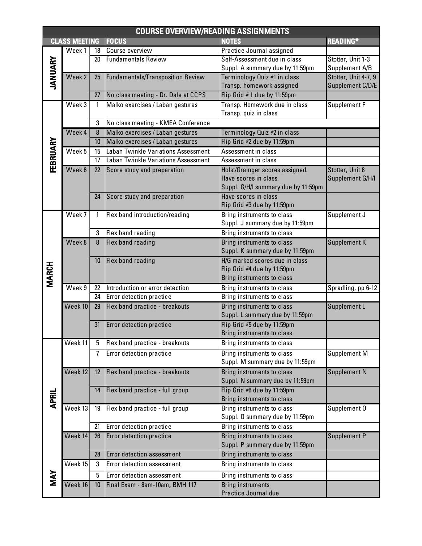| <b>COURSE OVERVIEW/READING ASSIGNMENTS</b> |                   |              |                                          |                                                           |                      |
|--------------------------------------------|-------------------|--------------|------------------------------------------|-----------------------------------------------------------|----------------------|
| <b>FOCUS</b><br><b>CLASS MEETING</b>       |                   |              |                                          | <b>NOTES</b>                                              | <b>READING*</b>      |
| JANUARY                                    | Week 1            | 18           | Course overview                          | Practice Journal assigned                                 |                      |
|                                            |                   | 20           | <b>Fundamentals Review</b>               | Self-Assessment due in class                              | Stotter, Unit 1-3    |
|                                            |                   |              |                                          | Suppl. A summary due by 11:59pm                           | Supplement A/B       |
|                                            | Week <sub>2</sub> | 25           | <b>Fundamentals/Transposition Review</b> | Terminology Quiz #1 in class                              | Stotter, Unit 4-7, 9 |
|                                            |                   |              |                                          | Transp. homework assigned                                 | Supplement C/D/E     |
|                                            |                   | 27           | No class meeting - Dr. Dale at CCPS      | Flip Grid #1 due by 11:59pm                               |                      |
|                                            | Week 3            | $\mathbf{1}$ | Malko exercises / Laban gestures         | Transp. Homework due in class                             | Supplement F         |
|                                            |                   |              |                                          | Transp. quiz in class                                     |                      |
|                                            |                   | 3            | No class meeting - KMEA Conference       |                                                           |                      |
| FEBRUARY                                   | Week 4            | 8            | Malko exercises / Laban gestures         | Terminology Quiz #2 in class                              |                      |
|                                            |                   | 10           | Malko exercises / Laban gestures         | Flip Grid #2 due by 11:59pm                               |                      |
|                                            | Week 5            | 15           | Laban Twinkle Variations Assessment      | Assessment in class                                       |                      |
|                                            |                   | 17           | Laban Twinkle Variations Assessment      | Assessment in class                                       |                      |
|                                            | Week 6            | 22           | Score study and preparation              | Holst/Grainger scores assigned.                           | Stotter, Unit 8      |
|                                            |                   |              |                                          | Have scores in class.                                     | Supplement G/H/I     |
|                                            |                   |              |                                          | Suppl. G/H/I summary due by 11:59pm                       |                      |
|                                            |                   | 24           | Score study and preparation              | Have scores in class                                      |                      |
|                                            |                   |              |                                          | Flip Grid #3 due by 11:59pm<br>Bring instruments to class |                      |
|                                            | Week 7            | 1            | Flex band introduction/reading           | Suppl. J summary due by 11:59pm                           | Supplement J         |
|                                            |                   | 3            | Flex band reading                        | Bring instruments to class                                |                      |
|                                            | Week 8            | 8            | Flex band reading                        | Bring instruments to class                                | Supplement K         |
|                                            |                   |              |                                          | Suppl. K summary due by 11:59pm                           |                      |
|                                            |                   | 10           | Flex band reading                        | H/G marked scores due in class                            |                      |
| <b>MARCH</b>                               |                   |              |                                          | Flip Grid #4 due by 11:59pm                               |                      |
|                                            |                   |              |                                          | Bring instruments to class                                |                      |
|                                            | Week 9            | 22           | Introduction or error detection          | Bring instruments to class                                | Spradling, pp 6-12   |
|                                            |                   | 24           | Error detection practice                 | Bring instruments to class                                |                      |
|                                            | Week 10           | 29           | Flex band practice - breakouts           | Bring instruments to class                                | Supplement L         |
|                                            |                   |              |                                          | Suppl. L summary due by 11:59pm                           |                      |
|                                            |                   | 31           | <b>Error detection practice</b>          | Flip Grid #5 due by 11:59pm                               |                      |
|                                            |                   |              |                                          | Bring instruments to class                                |                      |
|                                            | Week 11           | 5            | Flex band practice - breakouts           | Bring instruments to class                                |                      |
|                                            |                   | 7            | Error detection practice                 | Bring instruments to class                                | Supplement M         |
|                                            |                   |              |                                          | Suppl. M summary due by 11:59pm                           |                      |
|                                            | Week 12           | 12           | Flex band practice - breakouts           | Bring instruments to class                                | Supplement N         |
|                                            |                   |              |                                          | Suppl. N summary due by 11:59pm                           |                      |
|                                            |                   | 14           | Flex band practice - full group          | Flip Grid #6 due by 11:59pm                               |                      |
| <b>APRIL</b>                               |                   |              |                                          | Bring instruments to class                                |                      |
|                                            | Week 13           | 19           | Flex band practice - full group          | Bring instruments to class                                | Supplement 0         |
|                                            |                   |              |                                          | Suppl. 0 summary due by 11:59pm                           |                      |
|                                            |                   | 21           | Error detection practice                 | Bring instruments to class                                |                      |
|                                            | Week 14           | 26           | Error detection practice                 | Bring instruments to class                                | Supplement P         |
|                                            |                   |              |                                          | Suppl. P summary due by 11:59pm                           |                      |
|                                            |                   | 28           | <b>Error detection assessment</b>        | Bring instruments to class                                |                      |
|                                            | Week 15           | 3            | Error detection assessment               | Bring instruments to class                                |                      |
| MAY                                        |                   | 5            | Error detection assessment               | Bring instruments to class                                |                      |
|                                            | Week 16           | 10           | Final Exam - 8am-10am, BMH 117           | <b>Bring instruments</b>                                  |                      |
|                                            |                   |              |                                          | Practice Journal due                                      |                      |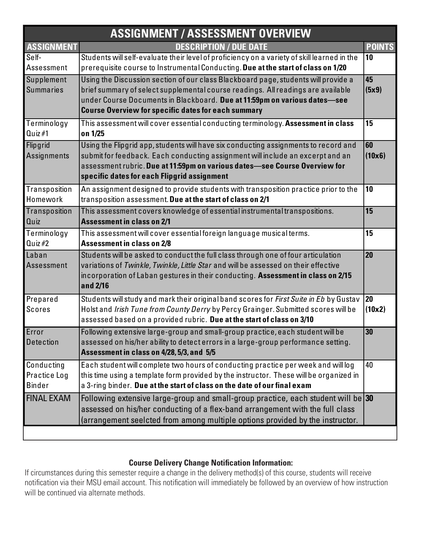| <b>ASSIGNMENT / ASSESSMENT OVERVIEW</b> |                                                                                              |               |  |  |
|-----------------------------------------|----------------------------------------------------------------------------------------------|---------------|--|--|
| <b>ASSIGNMENT</b>                       | <b>DESCRIPTION / DUE DATE</b>                                                                | <b>POINTS</b> |  |  |
| Self-                                   | Students will self-evaluate their level of proficiency on a variety of skill learned in the  | 10            |  |  |
| Assessment                              | prerequisite course to Instrumental Conducting. Due at the start of class on 1/20            |               |  |  |
| Supplement                              | Using the Discussion section of our class Blackboard page, students will provide a           | 45            |  |  |
| <b>Summaries</b>                        | brief summary of select supplemental course readings. All readings are available             | (5x9)         |  |  |
|                                         | under Course Documents in Blackboard. Due at 11:59pm on various dates-see                    |               |  |  |
|                                         | <b>Course Overview for specific dates for each summary</b>                                   |               |  |  |
| Terminology                             | This assessment will cover essential conducting terminology. Assessment in class             | 15            |  |  |
| $Quiz \#1$                              | on 1/25                                                                                      |               |  |  |
| Flipgrid                                | Using the Flipgrid app, students will have six conducting assignments to record and          | 60            |  |  |
| Assignments                             | submit for feedback. Each conducting assignment will include an excerpt and an               | (10x6)        |  |  |
|                                         | assessment rubric. Due at 11:59pm on various dates-see Course Overview for                   |               |  |  |
|                                         | specific dates for each Flipgrid assignment                                                  |               |  |  |
| Transposition                           | An assignment designed to provide students with transposition practice prior to the          | 10            |  |  |
| Homework                                | transposition assessment. Due at the start of class on 2/1                                   |               |  |  |
| Transposition                           | This assessment covers knowledge of essential instrumental transpositions.                   | 15            |  |  |
| Quiz                                    | <b>Assessment in class on 2/1</b>                                                            |               |  |  |
| Terminology                             | This assessment will cover essential foreign language musical terms.                         | 15            |  |  |
| $Quiz \#2$                              | <b>Assessment in class on 2/8</b>                                                            |               |  |  |
| Laban                                   | Students will be asked to conduct the full class through one of four articulation            | 20            |  |  |
| Assessment                              | variations of Twinkle, Twinkle, Little Star and will be assessed on their effective          |               |  |  |
|                                         | incorporation of Laban gestures in their conducting. Assessment in class on 2/15<br>and 2/16 |               |  |  |
| Prepared                                | Students will study and mark their original band scores for First Suite in Eb by Gustav      | 20            |  |  |
| <b>Scores</b>                           | Holst and Irish Tune from County Derry by Percy Grainger. Submitted scores will be           | (10x2)        |  |  |
|                                         | assessed based on a provided rubric. Due at the start of class on 3/10                       |               |  |  |
| Error                                   | Following extensive large-group and small-group practice, each student will be               | 30            |  |  |
| Detection                               | assessed on his/her ability to detect errors in a large-group performance setting.           |               |  |  |
|                                         | Assessment in class on 4/28, 5/3, and 5/5                                                    |               |  |  |
| Conducting                              | Each student will complete two hours of conducting practice per week and will log            | 40            |  |  |
| Practice Log                            | this time using a template form provided by the instructor. These will be organized in       |               |  |  |
| <b>Binder</b>                           | a 3-ring binder. Due at the start of class on the date of our final exam                     |               |  |  |
| <b>FINAL EXAM</b>                       | Following extensive large-group and small-group practice, each student will be $ 30\rangle$  |               |  |  |
|                                         | assessed on his/her conducting of a flex-band arrangement with the full class                |               |  |  |
|                                         | (arrangement seelcted from among multiple options provided by the instructor.                |               |  |  |
|                                         |                                                                                              |               |  |  |

### **Course Delivery Change Notification Information:**

If circumstances during this semester require a change in the delivery method(s) of this course, students will receive notification via their MSU email account. This notification will immediately be followed by an overview of how instruction will be continued via alternate methods.